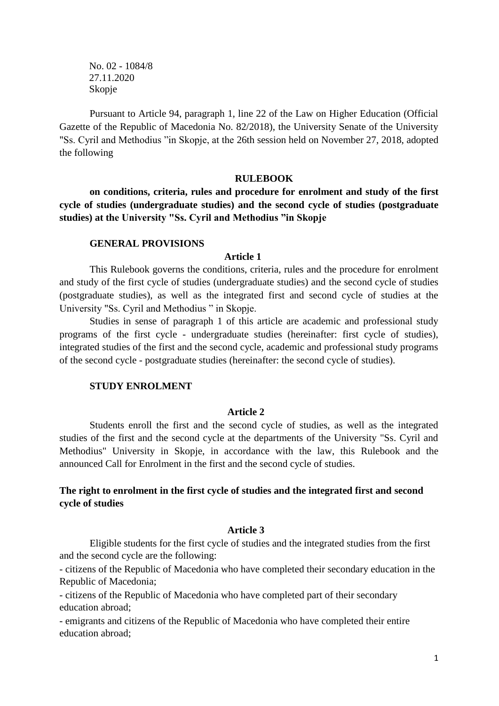No. 02 - 1084/8 27.11.2020 Skopje

Pursuant to Article 94, paragraph 1, line 22 of the Law on Higher Education (Official Gazette of the Republic of Macedonia No. 82/2018), the University Senate of the University "Ss. Cyril and Methodius "in Skopje, at the 26th session held on November 27, 2018, adopted the following

#### **RULEBOOK**

**on conditions, criteria, rules and procedure for enrolment and study of the first cycle of studies (undergraduate studies) and the second cycle of studies (postgraduate studies) at the University "Ss. Cyril and Methodius "in Skopje**

### **GENERAL PROVISIONS**

### **Article 1**

This Rulebook governs the conditions, criteria, rules and the procedure for enrolment and study of the first cycle of studies (undergraduate studies) and the second cycle of studies (postgraduate studies), as well as the integrated first and second cycle of studies at the University "Ss. Cyril and Methodius " in Skopje.

Studies in sense of paragraph 1 of this article are academic and professional study programs of the first cycle - undergraduate studies (hereinafter: first cycle of studies), integrated studies of the first and the second cycle, academic and professional study programs of the second cycle - postgraduate studies (hereinafter: the second cycle of studies).

#### **STUDY ENROLMENT**

#### **Article 2**

Students enroll the first and the second cycle of studies, as well as the integrated studies of the first and the second cycle at the departments of the University "Ss. Cyril and Methodius" University in Skopje, in accordance with the law, this Rulebook and the announced Call for Enrolment in the first and the second cycle of studies.

## **The right to enrolment in the first cycle of studies and the integrated first and second cycle of studies**

### **Article 3**

Eligible students for the first cycle of studies and the integrated studies from the first and the second cycle are the following:

- citizens of the Republic of Macedonia who have completed their secondary education in the Republic of Macedonia;

- citizens of the Republic of Macedonia who have completed part of their secondary education abroad;

- emigrants and citizens of the Republic of Macedonia who have completed their entire education abroad;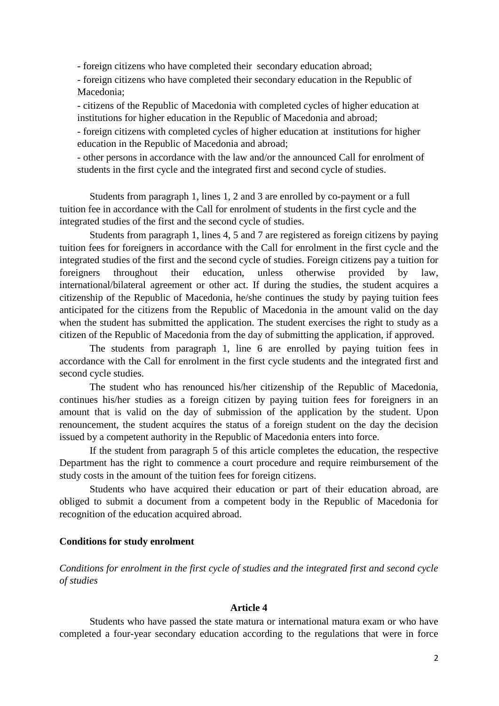- foreign citizens who have completed their secondary education abroad;

- foreign citizens who have completed their secondary education in the Republic of Macedonia;

- citizens of the Republic of Macedonia with completed cycles of higher education at institutions for higher education in the Republic of Macedonia and abroad;

- foreign citizens with completed cycles of higher education at institutions for higher education in the Republic of Macedonia and abroad;

- other persons in accordance with the law and/or the announced Call for enrolment of students in the first cycle and the integrated first and second cycle of studies.

Students from paragraph 1, lines 1, 2 and 3 are enrolled by co-payment or a full tuition fee in accordance with the Call for enrolment of students in the first cycle and the integrated studies of the first and the second cycle of studies.

Students from paragraph 1, lines 4, 5 and 7 are registered as foreign citizens by paying tuition fees for foreigners in accordance with the Call for enrolment in the first cycle and the integrated studies of the first and the second cycle of studies. Foreign citizens pay a tuition for foreigners throughout their education, unless otherwise provided by law, international/bilateral agreement or other act. If during the studies, the student acquires a citizenship of the Republic of Macedonia, he/she continues the study by paying tuition fees anticipated for the citizens from the Republic of Macedonia in the amount valid on the day when the student has submitted the application. The student exercises the right to study as a citizen of the Republic of Macedonia from the day of submitting the application, if approved.

The students from paragraph 1, line 6 are enrolled by paying tuition fees in accordance with the Call for enrolment in the first cycle students and the integrated first and second cycle studies.

The student who has renounced his/her citizenship of the Republic of Macedonia, continues his/her studies as a foreign citizen by paying tuition fees for foreigners in an amount that is valid on the day of submission of the application by the student. Upon renouncement, the student acquires the status of a foreign student on the day the decision issued by a competent authority in the Republic of Macedonia enters into force.

If the student from paragraph 5 of this article completes the education, the respective Department has the right to commence a court procedure and require reimbursement of the study costs in the amount of the tuition fees for foreign citizens.

Students who have acquired their education or part of their education abroad, are obliged to submit a document from a competent body in the Republic of Macedonia for recognition of the education acquired abroad.

#### **Conditions for study enrolment**

*Conditions for enrolment in the first cycle of studies and the integrated first and second cycle of studies*

### **Article 4**

Students who have passed the state matura or international matura exam or who have completed a four-year secondary education according to the regulations that were in force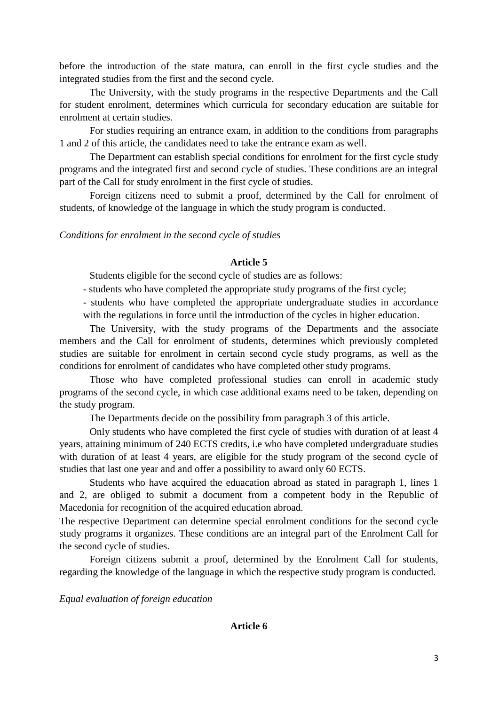before the introduction of the state matura, can enroll in the first cycle studies and the integrated studies from the first and the second cycle.

The University, with the study programs in the respective Departments and the Call for student enrolment, determines which curricula for secondary education are suitable for enrolment at certain studies.

For studies requiring an entrance exam, in addition to the conditions from paragraphs 1 and 2 of this article, the candidates need to take the entrance exam as well.

The Department can establish special conditions for enrolment for the first cycle study programs and the integrated first and second cycle of studies. These conditions are an integral part of the Call for study enrolment in the first cycle of studies.

Foreign citizens need to submit a proof, determined by the Call for enrolment of students, of knowledge of the language in which the study program is conducted.

*Conditions for enrolment in the second cycle of studies*

## **Article 5**

Students eligible for the second cycle of studies are as follows:

- students who have completed the appropriate study programs of the first cycle;

- students who have completed the appropriate undergraduate studies in accordance with the regulations in force until the introduction of the cycles in higher education.

The University, with the study programs of the Departments and the associate members and the Call for enrolment of students, determines which previously completed studies are suitable for enrolment in certain second cycle study programs, as well as the conditions for enrolment of candidates who have completed other study programs.

Those who have completed professional studies can enroll in academic study programs of the second cycle, in which case additional exams need to be taken, depending on the study program.

The Departments decide on the possibility from paragraph 3 of this article.

Only students who have completed the first cycle of studies with duration of at least 4 years, attaining minimum of 240 ECTS credits, i.e who have completed undergraduate studies with duration of at least 4 years, are eligible for the study program of the second cycle of studies that last one year and and offer a possibility to award only 60 ECTS.

Students who have acquired the eduacation abroad as stated in paragraph 1, lines 1 and 2, are obliged to submit a document from a competent body in the Republic of Macedonia for recognition of the acquired education abroad.

The respective Department can determine special enrolment conditions for the second cycle study programs it organizes. These conditions are an integral part of the Enrolment Call for the second cycle of studies.

Foreign citizens submit a proof, determined by the Enrolment Call for students, regarding the knowledge of the language in which the respective study program is conducted.

*Equal evaluation of foreign education*

**Article 6**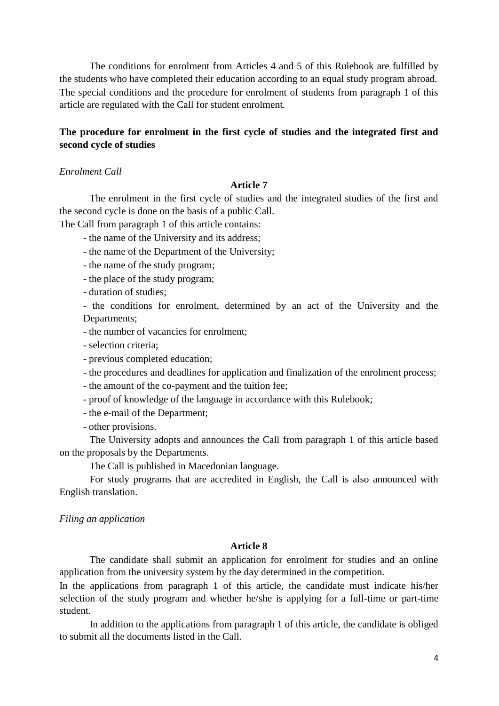The conditions for enrolment from Articles 4 and 5 of this Rulebook are fulfilled by the students who have completed their education according to an equal study program abroad. The special conditions and the procedure for enrolment of students from paragraph 1 of this article are regulated with the Call for student enrolment.

## **The procedure for enrolment in the first cycle of studies and the integrated first and second cycle of studies**

## *Enrolment Call*

#### **Article 7**

The enrolment in the first cycle of studies and the integrated studies of the first and the second cycle is done on the basis of a public Call.

The Call from paragraph 1 of this article contains:

- the name of the University and its address;

- the name of the Department of the University;
- the name of the study program;
- the place of the study program;
- duration of studies;

- the conditions for enrolment, determined by an act of the University and the Departments;

- the number of vacancies for enrolment;

- selection criteria;
- previous completed education;
- the procedures and deadlines for application and finalization of the enrolment process;
- the amount of the co-payment and the tuition fee;
- proof of knowledge of the language in accordance with this Rulebook;
- the e-mail of the Department;
- other provisions.

The University adopts and announces the Call from paragraph 1 of this article based on the proposals by the Departments.

The Call is published in Macedonian language.

For study programs that are accredited in English, the Call is also announced with English translation.

#### *Filing an application*

## **Article 8**

The candidate shall submit an application for enrolment for studies and an online application from the university system by the day determined in the competition.

In the applications from paragraph 1 of this article, the candidate must indicate his/her selection of the study program and whether he/she is applying for a full-time or part-time student.

In addition to the applications from paragraph 1 of this article, the candidate is obliged to submit all the documents listed in the Call.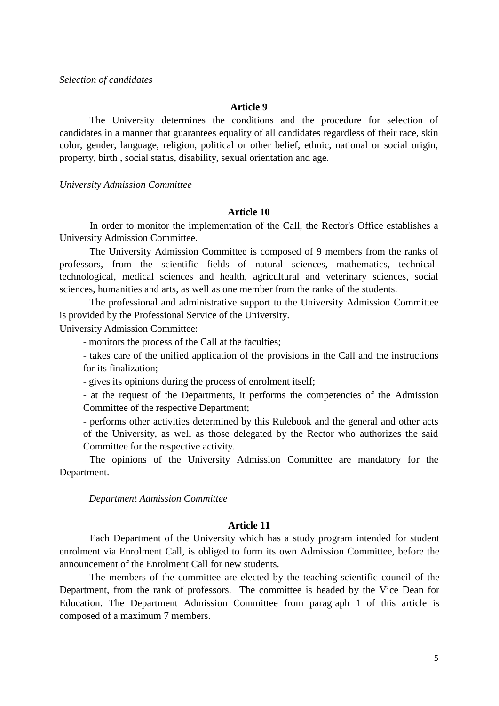#### **Article 9**

The University determines the conditions and the procedure for selection of candidates in a manner that guarantees equality of all candidates regardless of their race, skin color, gender, language, religion, political or other belief, ethnic, national or social origin, property, birth , social status, disability, sexual orientation and age.

*University Admission Committee*

### **Article 10**

In order to monitor the implementation of the Call, the Rector's Office establishes a University Admission Committee.

The University Admission Committee is composed of 9 members from the ranks of professors, from the scientific fields of natural sciences, mathematics, technicaltechnological, medical sciences and health, agricultural and veterinary sciences, social sciences, humanities and arts, as well as one member from the ranks of the students.

The professional and administrative support to the University Admission Committee is provided by the Professional Service of the University.

University Admission Committee:

- monitors the process of the Call at the faculties;

- takes care of the unified application of the provisions in the Call and the instructions for its finalization;

- gives its opinions during the process of enrolment itself;

- at the request of the Departments, it performs the competencies of the Admission Committee of the respective Department;

- performs other activities determined by this Rulebook and the general and other acts of the University, as well as those delegated by the Rector who authorizes the said Committee for the respective activity.

The opinions of the University Admission Committee are mandatory for the Department.

*Department Admission Committee*

### **Article 11**

Each Department of the University which has a study program intended for student enrolment via Enrolment Call, is obliged to form its own Admission Committee, before the announcement of the Enrolment Call for new students.

The members of the committee are elected by the teaching-scientific council of the Department, from the rank of professors. The committee is headed by the Vice Dean for Education. The Department Admission Committee from paragraph 1 of this article is composed of a maximum 7 members.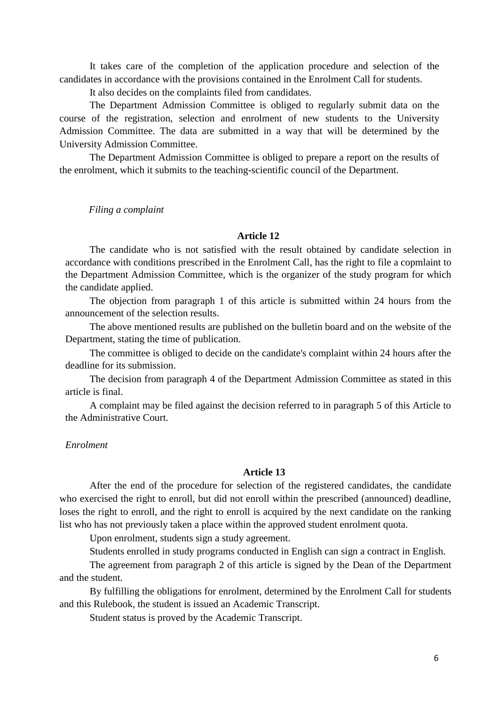It takes care of the completion of the application procedure and selection of the candidates in accordance with the provisions contained in the Enrolment Call for students.

It also decides on the complaints filed from candidates.

The Department Admission Committee is obliged to regularly submit data on the course of the registration, selection and enrolment of new students to the University Admission Committee. The data are submitted in a way that will be determined by the University Admission Committee.

The Department Admission Committee is obliged to prepare a report on the results of the enrolment, which it submits to the teaching-scientific council of the Department.

*Filing a complaint*

## **Article 12**

The candidate who is not satisfied with the result obtained by candidate selection in accordance with conditions prescribed in the Enrolment Call, has the right to file a copmlaint to the Department Admission Committee, which is the organizer of the study program for which the candidate applied.

The objection from paragraph 1 of this article is submitted within 24 hours from the announcement of the selection results.

The above mentioned results are published on the bulletin board and on the website of the Department, stating the time of publication.

The committee is obliged to decide on the candidate's complaint within 24 hours after the deadline for its submission.

The decision from paragraph 4 of the Department Admission Committee as stated in this article is final.

A complaint may be filed against the decision referred to in paragraph 5 of this Article to the Administrative Court.

#### *Enrolment*

## **Article 13**

After the end of the procedure for selection of the registered candidates, the candidate who exercised the right to enroll, but did not enroll within the prescribed (announced) deadline, loses the right to enroll, and the right to enroll is acquired by the next candidate on the ranking list who has not previously taken a place within the approved student enrolment quota.

Upon enrolment, students sign a study agreement.

Students enrolled in study programs conducted in English can sign a contract in English.

The agreement from paragraph 2 of this article is signed by the Dean of the Department and the student.

By fulfilling the obligations for enrolment, determined by the Enrolment Call for students and this Rulebook, the student is issued an Academic Transcript.

Student status is proved by the Academic Transcript.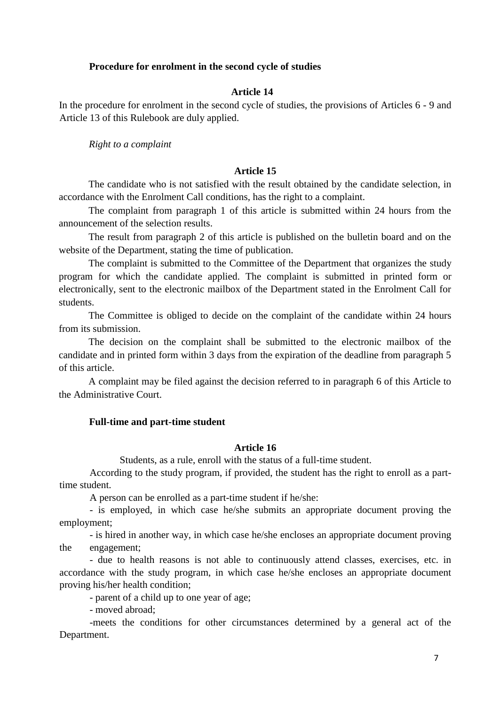## **Procedure for enrolment in the second cycle of studies**

## **Article 14**

In the procedure for enrolment in the second cycle of studies, the provisions of Articles 6 - 9 and Article 13 of this Rulebook are duly applied.

*Right to a complaint*

## **Article 15**

The candidate who is not satisfied with the result obtained by the candidate selection, in accordance with the Enrolment Call conditions, has the right to a complaint.

The complaint from paragraph 1 of this article is submitted within 24 hours from the announcement of the selection results.

The result from paragraph 2 of this article is published on the bulletin board and on the website of the Department, stating the time of publication.

The complaint is submitted to the Committee of the Department that organizes the study program for which the candidate applied. The complaint is submitted in printed form or electronically, sent to the electronic mailbox of the Department stated in the Enrolment Call for students.

The Committee is obliged to decide on the complaint of the candidate within 24 hours from its submission.

The decision on the complaint shall be submitted to the electronic mailbox of the candidate and in printed form within 3 days from the expiration of the deadline from paragraph 5 of this article.

A complaint may be filed against the decision referred to in paragraph 6 of this Article to the Administrative Court.

### **Full-time and part-time student**

## **Article 16**

Students, as a rule, enroll with the status of a full-time student.

According to the study program, if provided, the student has the right to enroll as a parttime student.

A person can be enrolled as a part-time student if he/she:

- is employed, in which case he/she submits an appropriate document proving the employment;

- is hired in another way, in which case he/she encloses an appropriate document proving the engagement;

- due to health reasons is not able to continuously attend classes, exercises, etc. in accordance with the study program, in which case he/she encloses an appropriate document proving his/her health condition;

- parent of a child up to one year of age;

- moved abroad;

-meets the conditions for other circumstances determined by a general act of the Department.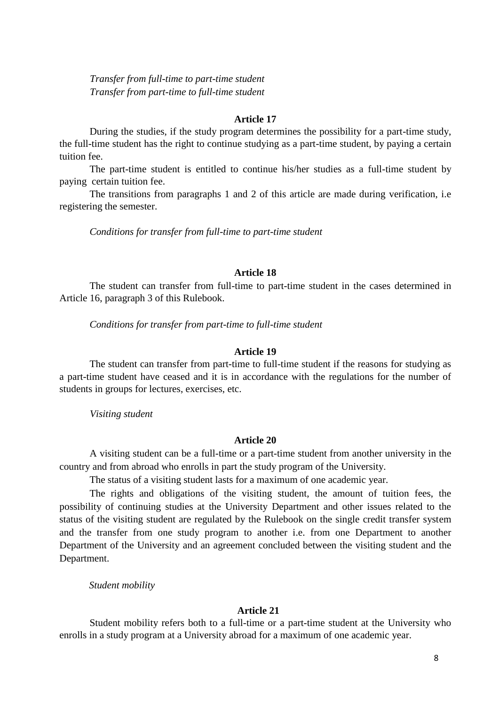*Transfer from full-time to part-time student Transfer from part-time to full-time student*

#### **Article 17**

During the studies, if the study program determines the possibility for a part-time study, the full-time student has the right to continue studying as a part-time student, by paying a certain tuition fee.

The part-time student is entitled to continue his/her studies as a full-time student by paying certain tuition fee.

The transitions from paragraphs 1 and 2 of this article are made during verification, i.e registering the semester.

*Conditions for transfer from full-time to part-time student*

## **Article 18**

The student can transfer from full-time to part-time student in the cases determined in Article 16, paragraph 3 of this Rulebook.

*Conditions for transfer from part-time to full-time student*

#### **Article 19**

The student can transfer from part-time to full-time student if the reasons for studying as a part-time student have ceased and it is in accordance with the regulations for the number of students in groups for lectures, exercises, etc.

*Visiting student*

#### **Article 20**

A visiting student can be a full-time or a part-time student from another university in the country and from abroad who enrolls in part the study program of the University.

The status of a visiting student lasts for a maximum of one academic year.

The rights and obligations of the visiting student, the amount of tuition fees, the possibility of continuing studies at the University Department and other issues related to the status of the visiting student are regulated by the Rulebook on the single credit transfer system and the transfer from one study program to another i.e. from one Department to another Department of the University and an agreement concluded between the visiting student and the Department.

*Student mobility*

### **Article 21**

Student mobility refers both to a full-time or a part-time student at the University who enrolls in a study program at a University abroad for a maximum of one academic year.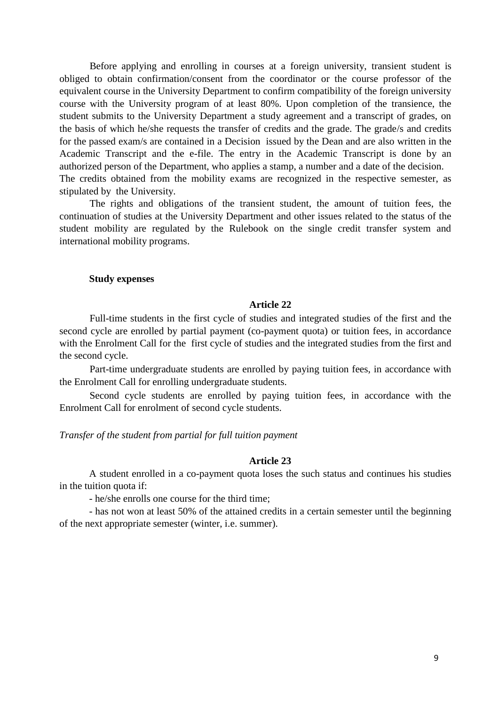Before applying and enrolling in courses at a foreign university, transient student is obliged to obtain confirmation/consent from the coordinator or the course professor of the equivalent course in the University Department to confirm compatibility of the foreign university course with the University program of at least 80%. Upon completion of the transience, the student submits to the University Department a study agreement and a transcript of grades, on the basis of which he/she requests the transfer of credits and the grade. The grade/s and credits for the passed exam/s are contained in a Decision issued by the Dean and are also written in the Academic Transcript and the e-file. The entry in the Academic Transcript is done by an authorized person of the Department, who applies a stamp, a number and a date of the decision. The credits obtained from the mobility exams are recognized in the respective semester, as stipulated by the University.

The rights and obligations of the transient student, the amount of tuition fees, the continuation of studies at the University Department and other issues related to the status of the student mobility are regulated by the Rulebook on the single credit transfer system and international mobility programs.

### **Study expenses**

#### **Article 22**

Full-time students in the first cycle of studies and integrated studies of the first and the second cycle are enrolled by partial payment (co-payment quota) or tuition fees, in accordance with the Enrolment Call for the first cycle of studies and the integrated studies from the first and the second cycle.

Part-time undergraduate students are enrolled by paying tuition fees, in accordance with the Enrolment Call for enrolling undergraduate students.

Second cycle students are enrolled by paying tuition fees, in accordance with the Enrolment Call for enrolment of second cycle students.

#### *Transfer of the student from partial for full tuition payment*

### **Article 23**

A student enrolled in a co-payment quota loses the such status and continues his studies in the tuition quota if:

- he/she enrolls one course for the third time;

- has not won at least 50% of the attained credits in a certain semester until the beginning of the next appropriate semester (winter, i.e. summer).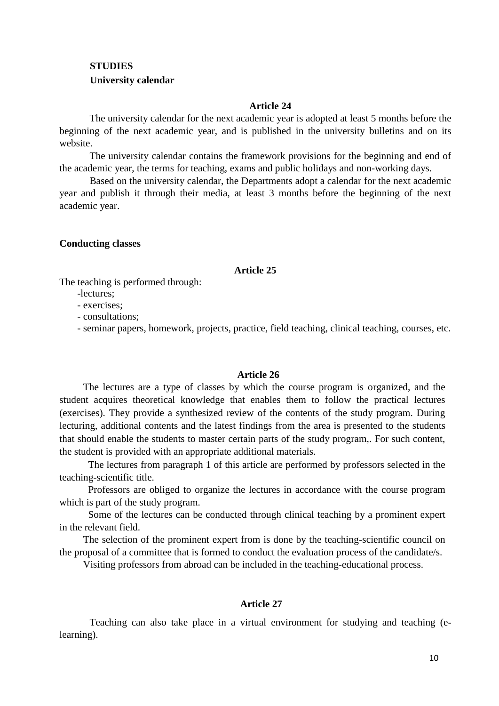# **STUDIES University calendar**

### **Article 24**

The university calendar for the next academic year is adopted at least 5 months before the beginning of the next academic year, and is published in the university bulletins and on its website.

The university calendar contains the framework provisions for the beginning and end of the academic year, the terms for teaching, exams and public holidays and non-working days.

Based on the university calendar, the Departments adopt a calendar for the next academic year and publish it through their media, at least 3 months before the beginning of the next academic year.

**Conducting classes**

## **Article 25**

The teaching is performed through:

-lectures;

- exercises;

- consultations;

- seminar papers, homework, projects, practice, field teaching, clinical teaching, courses, etc.

## **Article 26**

The lectures are a type of classes by which the course program is organized, and the student acquires theoretical knowledge that enables them to follow the practical lectures (exercises). They provide a synthesized review of the contents of the study program. During lecturing, additional contents and the latest findings from the area is presented to the students that should enable the students to master certain parts of the study program,. For such content, the student is provided with an appropriate additional materials.

 The lectures from paragraph 1 of this article are performed by professors selected in the teaching-scientific title.

 Professors are obliged to organize the lectures in accordance with the course program which is part of the study program.

 Some of the lectures can be conducted through clinical teaching by a prominent expert in the relevant field.

The selection of the prominent expert from is done by the teaching-scientific council on the proposal of a committee that is formed to conduct the evaluation process of the candidate/s.

Visiting professors from abroad can be included in the teaching-educational process.

## **Article 27**

Teaching can also take place in a virtual environment for studying and teaching (elearning).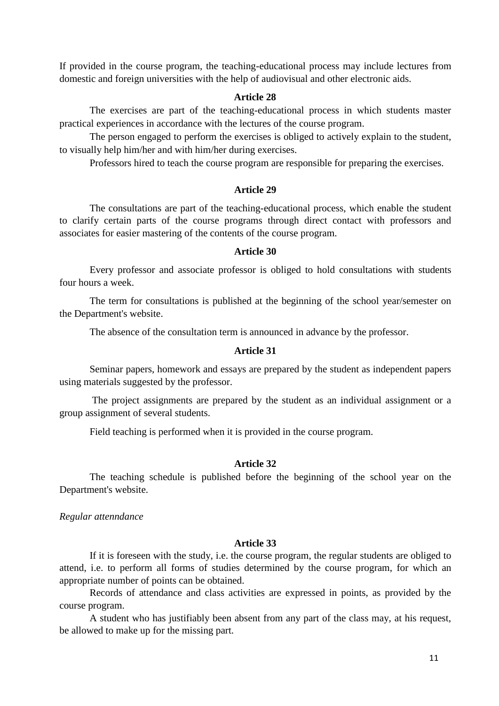If provided in the course program, the teaching-educational process may include lectures from domestic and foreign universities with the help of audiovisual and other electronic aids.

## **Article 28**

The exercises are part of the teaching-educational process in which students master practical experiences in accordance with the lectures of the course program.

The person engaged to perform the exercises is obliged to actively explain to the student, to visually help him/her and with him/her during exercises.

Professors hired to teach the course program are responsible for preparing the exercises.

## **Article 29**

The consultations are part of the teaching-educational process, which enable the student to clarify certain parts of the course programs through direct contact with professors and associates for easier mastering of the contents of the course program.

## **Article 30**

Every professor and associate professor is obliged to hold consultations with students four hours a week.

The term for consultations is published at the beginning of the school year/semester on the Department's website.

The absence of the consultation term is announced in advance by the professor.

#### **Article 31**

Seminar papers, homework and essays are prepared by the student as independent papers using materials suggested by the professor.

The project assignments are prepared by the student as an individual assignment or a group assignment of several students.

Field teaching is performed when it is provided in the course program.

#### **Article 32**

The teaching schedule is published before the beginning of the school year on the Department's website.

*Regular attenndance* 

#### **Article 33**

If it is foreseen with the study, i.e. the course program, the regular students are obliged to attend, i.e. to perform all forms of studies determined by the course program, for which an appropriate number of points can be obtained.

Records of attendance and class activities are expressed in points, as provided by the course program.

A student who has justifiably been absent from any part of the class may, at his request, be allowed to make up for the missing part.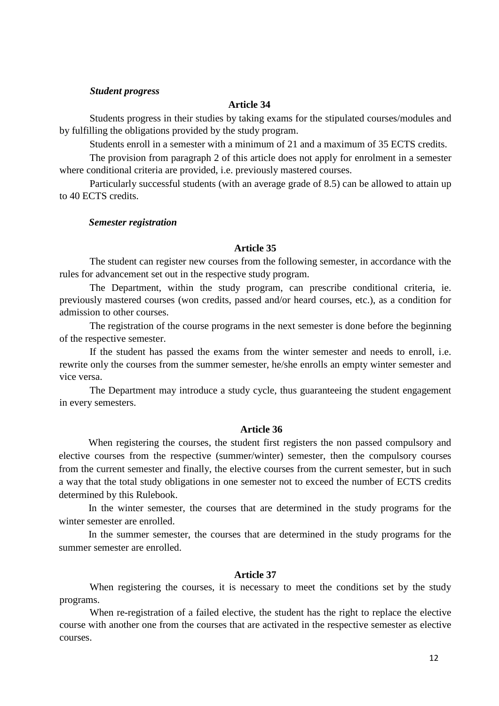#### *Student progress*

## **Article 34**

Students progress in their studies by taking exams for the stipulated courses/modules and by fulfilling the obligations provided by the study program.

Students enroll in a semester with a minimum of 21 and a maximum of 35 ECTS credits.

The provision from paragraph 2 of this article does not apply for enrolment in a semester where conditional criteria are provided, i.e. previously mastered courses.

Particularly successful students (with an average grade of 8.5) can be allowed to attain up to 40 ECTS credits.

#### *Semester registration*

#### **Article 35**

The student can register new courses from the following semester, in accordance with the rules for advancement set out in the respective study program.

The Department, within the study program, can prescribe conditional criteria, ie. previously mastered courses (won credits, passed and/or heard courses, etc.), as a condition for admission to other courses.

The registration of the course programs in the next semester is done before the beginning of the respective semester.

If the student has passed the exams from the winter semester and needs to enroll, i.e. rewrite only the courses from the summer semester, he/she enrolls an empty winter semester and vice versa.

The Department may introduce a study cycle, thus guaranteeing the student engagement in every semesters.

### **Article 36**

When registering the courses, the student first registers the non passed compulsory and elective courses from the respective (summer/winter) semester, then the compulsory courses from the current semester and finally, the elective courses from the current semester, but in such a way that the total study obligations in one semester not to exceed the number of ECTS credits determined by this Rulebook.

In the winter semester, the courses that are determined in the study programs for the winter semester are enrolled.

In the summer semester, the courses that are determined in the study programs for the summer semester are enrolled.

### **Article 37**

When registering the courses, it is necessary to meet the conditions set by the study programs.

When re-registration of a failed elective, the student has the right to replace the elective course with another one from the courses that are activated in the respective semester as elective courses.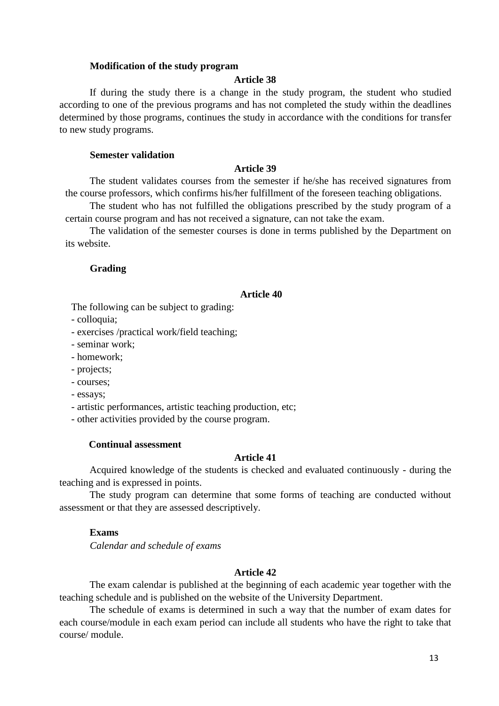### **Modification of the study program**

### **Article 38**

If during the study there is a change in the study program, the student who studied according to one of the previous programs and has not completed the study within the deadlines determined by those programs, continues the study in accordance with the conditions for transfer to new study programs.

#### **Semester validation**

### **Article 39**

The student validates courses from the semester if he/she has received signatures from the course professors, which confirms his/her fulfillment of the foreseen teaching obligations.

The student who has not fulfilled the obligations prescribed by the study program of a certain course program and has not received a signature, can not take the exam.

The validation of the semester courses is done in terms published by the Department on its website.

#### **Grading**

#### **Article 40**

The following can be subject to grading:

- colloquia;

- exercises /practical work/field teaching;

- seminar work;

- homework;

- projects;

- courses;

- essays;

- artistic performances, artistic teaching production, etc;

- other activities provided by the course program.

#### **Continual assessment**

## **Article 41**

Acquired knowledge of the students is checked and evaluated continuously - during the teaching and is expressed in points.

The study program can determine that some forms of teaching are conducted without assessment or that they are assessed descriptively.

## **Exams**

*Calendar and schedule of exams*

### **Article 42**

The exam calendar is published at the beginning of each academic year together with the teaching schedule and is published on the website of the University Department.

The schedule of exams is determined in such a way that the number of exam dates for each course/module in each exam period can include all students who have the right to take that course/ module.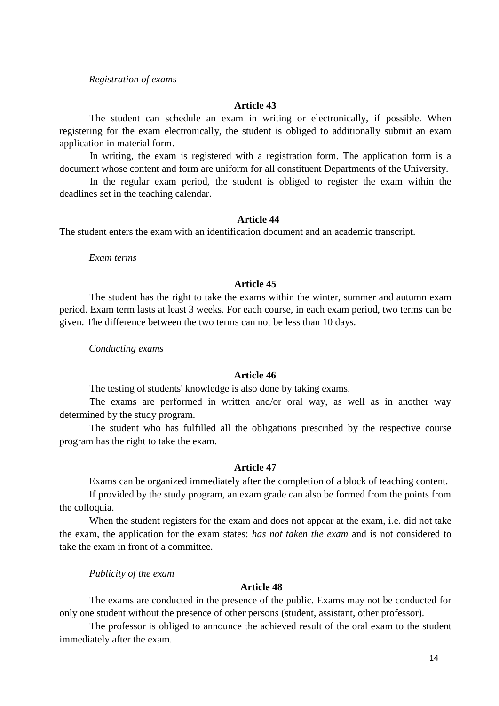## *Registration of exams*

#### **Article 43**

The student can schedule an exam in writing or electronically, if possible. When registering for the exam electronically, the student is obliged to additionally submit an exam application in material form.

In writing, the exam is registered with a registration form. The application form is a document whose content and form are uniform for all constituent Departments of the University.

In the regular exam period, the student is obliged to register the exam within the deadlines set in the teaching calendar.

#### **Article 44**

The student enters the exam with an identification document and an academic transcript.

*Exam terms*

## **Article 45**

The student has the right to take the exams within the winter, summer and autumn exam period. Exam term lasts at least 3 weeks. For each course, in each exam period, two terms can be given. The difference between the two terms can not be less than 10 days.

*Conducting exams*

### **Article 46**

The testing of students' knowledge is also done by taking exams.

The exams are performed in written and/or oral way, as well as in another way determined by the study program.

The student who has fulfilled all the obligations prescribed by the respective course program has the right to take the exam.

#### **Article 47**

Exams can be organized immediately after the completion of a block of teaching content.

If provided by the study program, an exam grade can also be formed from the points from the colloquia.

When the student registers for the exam and does not appear at the exam, i.e. did not take the exam, the application for the exam states: *has not taken the exam* and is not considered to take the exam in front of a committee.

*Publicity of the exam*

### **Article 48**

The exams are conducted in the presence of the public. Exams may not be conducted for only one student without the presence of other persons (student, assistant, other professor).

The professor is obliged to announce the achieved result of the oral exam to the student immediately after the exam.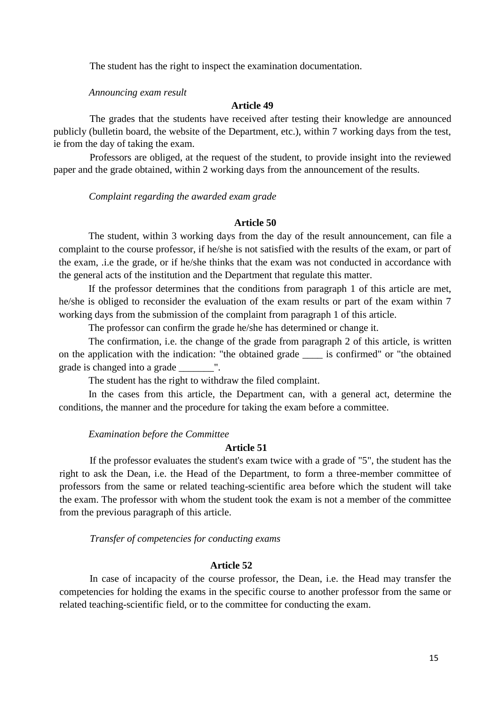The student has the right to inspect the examination documentation.

#### *Announcing exam result*

### **Article 49**

The grades that the students have received after testing their knowledge are announced publicly (bulletin board, the website of the Department, etc.), within 7 working days from the test, ie from the day of taking the exam.

Professors are obliged, at the request of the student, to provide insight into the reviewed paper and the grade obtained, within 2 working days from the announcement of the results.

*Complaint regarding the awarded exam grade* 

#### **Article 50**

The student, within 3 working days from the day of the result announcement, can file a complaint to the course professor, if he/she is not satisfied with the results of the exam, or part of the exam, .i.e the grade, or if he/she thinks that the exam was not conducted in accordance with the general acts of the institution and the Department that regulate this matter.

If the professor determines that the conditions from paragraph 1 of this article are met, he/she is obliged to reconsider the evaluation of the exam results or part of the exam within 7 working days from the submission of the complaint from paragraph 1 of this article.

The professor can confirm the grade he/she has determined or change it.

The confirmation, i.e. the change of the grade from paragraph 2 of this article, is written on the application with the indication: "the obtained grade is confirmed" or "the obtained" grade is changed into a grade \_\_\_\_\_\_\_".

The student has the right to withdraw the filed complaint.

In the cases from this article, the Department can, with a general act, determine the conditions, the manner and the procedure for taking the exam before a committee.

#### *Examination before the Committee*

### **Article 51**

If the professor evaluates the student's exam twice with a grade of "5", the student has the right to ask the Dean, i.e. the Head of the Department, to form a three-member committee of professors from the same or related teaching-scientific area before which the student will take the exam. The professor with whom the student took the exam is not a member of the committee from the previous paragraph of this article.

*Transfer of competencies for conducting exams*

## **Article 52**

In case of incapacity of the course professor, the Dean, i.e. the Head may transfer the competencies for holding the exams in the specific course to another professor from the same or related teaching-scientific field, or to the committee for conducting the exam.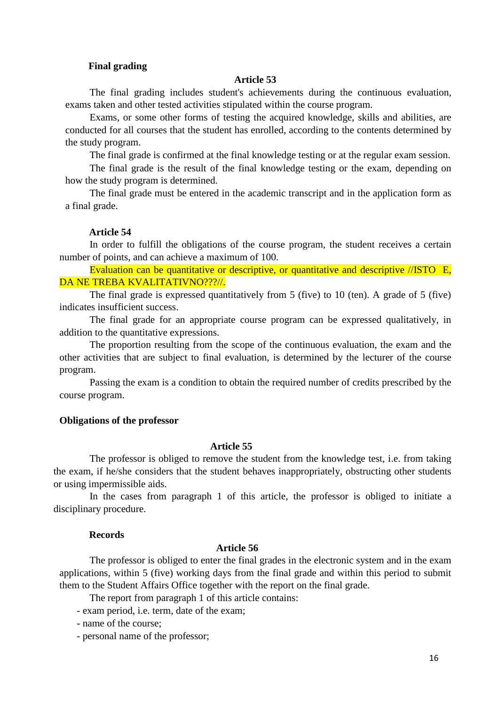## **Final grading**

#### **Article 53**

The final grading includes student's achievements during the continuous evaluation, exams taken and other tested activities stipulated within the course program.

Exams, or some other forms of testing the acquired knowledge, skills and abilities, are conducted for all courses that the student has enrolled, according to the contents determined by the study program.

The final grade is confirmed at the final knowledge testing or at the regular exam session.

The final grade is the result of the final knowledge testing or the exam, depending on how the study program is determined.

The final grade must be entered in the academic transcript and in the application form as a final grade.

#### **Article 54**

In order to fulfill the obligations of the course program, the student receives a certain number of points, and can achieve a maximum of 100.

Evaluation can be quantitative or descriptive, or quantitative and descriptive //ISTO E, DA NE TREBA KVALITATIVNO???//.

The final grade is expressed quantitatively from 5 (five) to 10 (ten). A grade of 5 (five) indicates insufficient success.

The final grade for an appropriate course program can be expressed qualitatively, in addition to the quantitative expressions.

The proportion resulting from the scope of the continuous evaluation, the exam and the other activities that are subject to final evaluation, is determined by the lecturer of the course program.

Passing the exam is a condition to obtain the required number of credits prescribed by the course program.

#### **Obligations of the professor**

#### **Article 55**

The professor is obliged to remove the student from the knowledge test, i.e. from taking the exam, if he/she considers that the student behaves inappropriately, obstructing other students or using impermissible aids.

In the cases from paragraph 1 of this article, the professor is obliged to initiate a disciplinary procedure.

#### **Records**

## **Article 56**

The professor is obliged to enter the final grades in the electronic system and in the exam applications, within 5 (five) working days from the final grade and within this period to submit them to the Student Affairs Office together with the report on the final grade.

The report from paragraph 1 of this article contains:

- exam period, i.e. term, date of the exam;

- name of the course;

- personal name of the professor;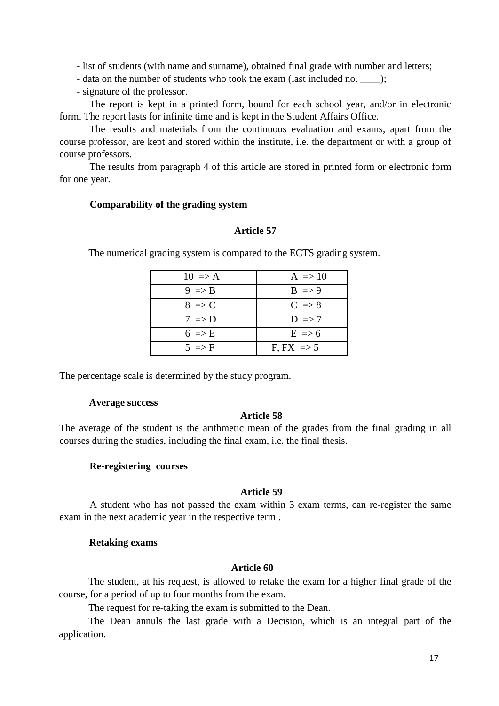- list of students (with name and surname), obtained final grade with number and letters;

- data on the number of students who took the exam (last included no. \_\_\_\_);

- signature of the professor.

The report is kept in a printed form, bound for each school year, and/or in electronic form. The report lasts for infinite time and is kept in the Student Affairs Office.

The results and materials from the continuous evaluation and exams, apart from the course professor, are kept and stored within the institute, i.e. the department or with a group of course professors.

The results from paragraph 4 of this article are stored in printed form or electronic form for one year.

### **Comparability of the grading system**

## **Article 57**

The numerical grading system is compared to the ECTS grading system.

| $10 \Rightarrow A$ | $A \Rightarrow 10$    |
|--------------------|-----------------------|
| $9 \Rightarrow B$  | $B \Rightarrow 9$     |
| $8 \Rightarrow C$  | $C \Rightarrow 8$     |
| $7 \Rightarrow D$  | $D \Rightarrow 7$     |
| $6 \Rightarrow E$  | $E \Rightarrow 6$     |
| $5 \implies F$     | $F$ , $FX \implies 5$ |

The percentage scale is determined by the study program.

### **Average success**

### **Article 58**

The average of the student is the arithmetic mean of the grades from the final grading in all courses during the studies, including the final exam, i.e. the final thesis.

### **Re-registering courses**

## **Article 59**

A student who has not passed the exam within 3 exam terms, can re-register the same exam in the next academic year in the respective term .

### **Retaking exams**

## **Article 60**

The student, at his request, is allowed to retake the exam for a higher final grade of the course, for a period of up to four months from the exam.

The request for re-taking the exam is submitted to the Dean.

The Dean annuls the last grade with a Decision, which is an integral part of the application.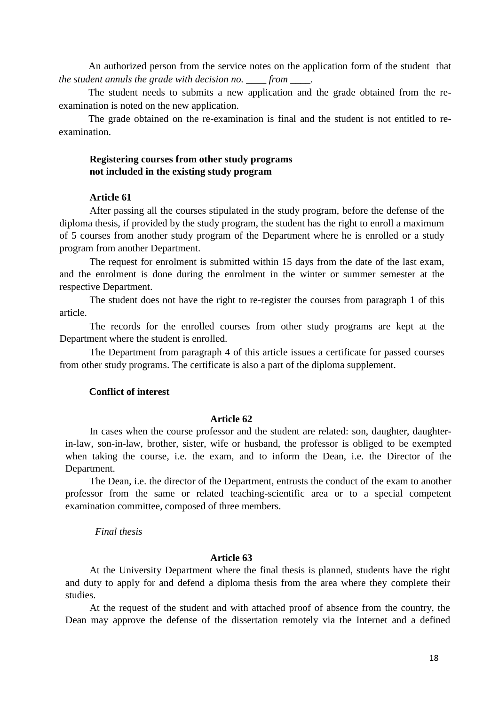An authorized person from the service notes on the application form of the student that *the student annuls the grade with decision no. \_\_\_\_ from \_\_\_\_.*

The student needs to submits a new application and the grade obtained from the reexamination is noted on the new application.

The grade obtained on the re-examination is final and the student is not entitled to reexamination.

## **Registering courses from other study programs not included in the existing study program**

## **Article 61**

After passing all the courses stipulated in the study program, before the defense of the diploma thesis, if provided by the study program, the student has the right to enroll a maximum of 5 courses from another study program of the Department where he is enrolled or a study program from another Department.

The request for enrolment is submitted within 15 days from the date of the last exam, and the enrolment is done during the enrolment in the winter or summer semester at the respective Department.

The student does not have the right to re-register the courses from paragraph 1 of this article.

The records for the enrolled courses from other study programs are kept at the Department where the student is enrolled.

The Department from paragraph 4 of this article issues a certificate for passed courses from other study programs. The certificate is also a part of the diploma supplement.

## **Conflict of interest**

### **Article 62**

In cases when the course professor and the student are related: son, daughter, daughterin-law, son-in-law, brother, sister, wife or husband, the professor is obliged to be exempted when taking the course, i.e. the exam, and to inform the Dean, i.e. the Director of the Department.

The Dean, i.e. the director of the Department, entrusts the conduct of the exam to another professor from the same or related teaching-scientific area or to a special competent examination committee, composed of three members.

## *Final thesis*

#### **Article 63**

At the University Department where the final thesis is planned, students have the right and duty to apply for and defend a diploma thesis from the area where they complete their studies.

At the request of the student and with attached proof of absence from the country, the Dean may approve the defense of the dissertation remotely via the Internet and a defined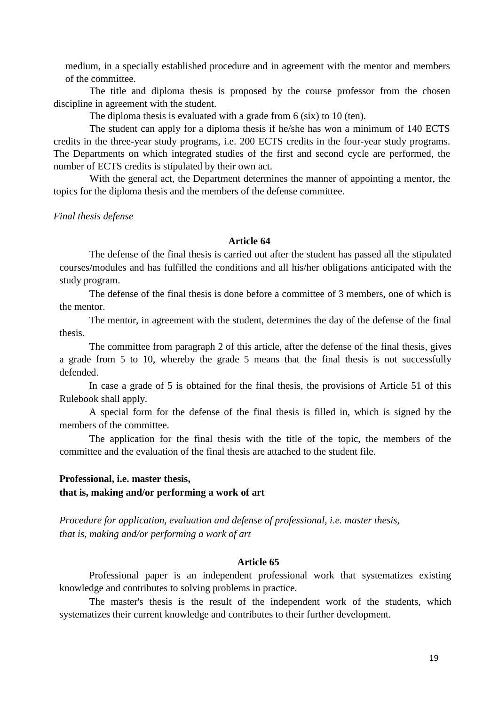medium, in a specially established procedure and in agreement with the mentor and members of the committee.

The title and diploma thesis is proposed by the course professor from the chosen discipline in agreement with the student.

The diploma thesis is evaluated with a grade from 6 (six) to 10 (ten).

The student can apply for a diploma thesis if he/she has won a minimum of 140 ECTS credits in the three-year study programs, i.e. 200 ECTS credits in the four-year study programs. The Departments on which integrated studies of the first and second cycle are performed, the number of ECTS credits is stipulated by their own act.

With the general act, the Department determines the manner of appointing a mentor, the topics for the diploma thesis and the members of the defense committee.

*Final thesis defense*

#### **Article 64**

The defense of the final thesis is carried out after the student has passed all the stipulated courses/modules and has fulfilled the conditions and all his/her obligations anticipated with the study program.

The defense of the final thesis is done before a committee of 3 members, one of which is the mentor.

The mentor, in agreement with the student, determines the day of the defense of the final thesis.

The committee from paragraph 2 of this article, after the defense of the final thesis, gives a grade from 5 to 10, whereby the grade 5 means that the final thesis is not successfully defended.

In case a grade of 5 is obtained for the final thesis, the provisions of Article 51 of this Rulebook shall apply.

A special form for the defense of the final thesis is filled in, which is signed by the members of the committee.

The application for the final thesis with the title of the topic, the members of the committee and the evaluation of the final thesis are attached to the student file.

### **Professional, i.e. master thesis,**

## **that is, making and/or performing a work of art**

*Procedure for application, evaluation and defense of professional, i.e. master thesis, that is, making and/or performing a work of art*

### **Article 65**

Professional paper is an independent professional work that systematizes existing knowledge and contributes to solving problems in practice.

The master's thesis is the result of the independent work of the students, which systematizes their current knowledge and contributes to their further development.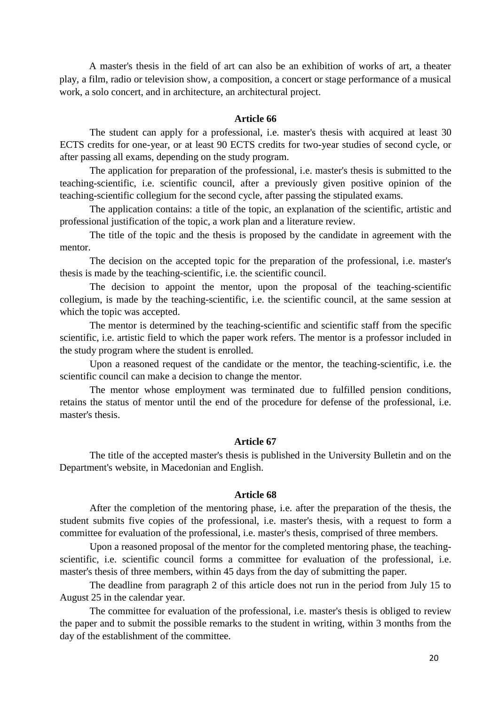A master's thesis in the field of art can also be an exhibition of works of art, a theater play, a film, radio or television show, a composition, a concert or stage performance of a musical work, a solo concert, and in architecture, an architectural project.

### **Article 66**

The student can apply for a professional, i.e. master's thesis with acquired at least 30 ECTS credits for one-year, or at least 90 ECTS credits for two-year studies of second cycle, or after passing all exams, depending on the study program.

The application for preparation of the professional, i.e. master's thesis is submitted to the teaching-scientific, i.e. scientific council, after a previously given positive opinion of the teaching-scientific collegium for the second cycle, after passing the stipulated exams.

The application contains: a title of the topic, an explanation of the scientific, artistic and professional justification of the topic, a work plan and a literature review.

The title of the topic and the thesis is proposed by the candidate in agreement with the mentor.

The decision on the accepted topic for the preparation of the professional, i.e. master's thesis is made by the teaching-scientific, i.e. the scientific council.

The decision to appoint the mentor, upon the proposal of the teaching-scientific collegium, is made by the teaching-scientific, i.e. the scientific council, at the same session at which the topic was accepted.

The mentor is determined by the teaching-scientific and scientific staff from the specific scientific, i.e. artistic field to which the paper work refers. The mentor is a professor included in the study program where the student is enrolled.

Upon a reasoned request of the candidate or the mentor, the teaching-scientific, i.e. the scientific council can make a decision to change the mentor.

The mentor whose employment was terminated due to fulfilled pension conditions, retains the status of mentor until the end of the procedure for defense of the professional, i.e. master's thesis.

#### **Article 67**

The title of the accepted master's thesis is published in the University Bulletin and on the Department's website, in Macedonian and English.

#### **Article 68**

After the completion of the mentoring phase, i.e. after the preparation of the thesis, the student submits five copies of the professional, i.e. master's thesis, with a request to form a committee for evaluation of the professional, i.e. master's thesis, comprised of three members.

Upon a reasoned proposal of the mentor for the completed mentoring phase, the teachingscientific, i.e. scientific council forms a committee for evaluation of the professional, i.e. master's thesis of three members, within 45 days from the day of submitting the paper.

The deadline from paragraph 2 of this article does not run in the period from July 15 to August 25 in the calendar year.

The committee for evaluation of the professional, i.e. master's thesis is obliged to review the paper and to submit the possible remarks to the student in writing, within 3 months from the day of the establishment of the committee.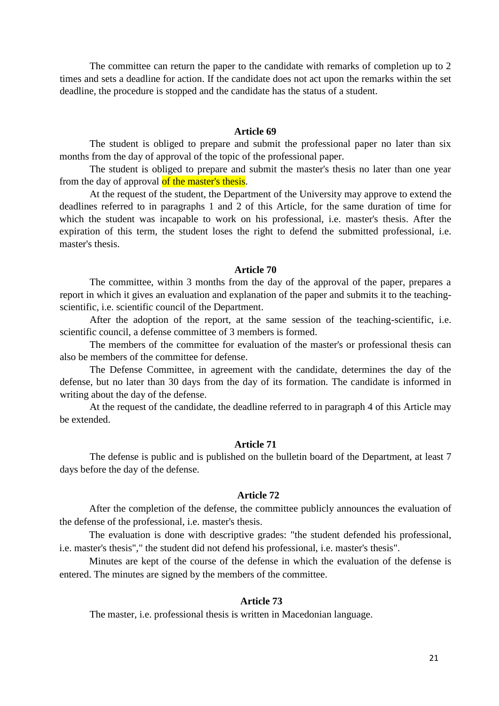The committee can return the paper to the candidate with remarks of completion up to 2 times and sets a deadline for action. If the candidate does not act upon the remarks within the set deadline, the procedure is stopped and the candidate has the status of a student.

#### **Article 69**

The student is obliged to prepare and submit the professional paper no later than six months from the day of approval of the topic of the professional paper.

The student is obliged to prepare and submit the master's thesis no later than one year from the day of approval of the master's thesis.

At the request of the student, the Department of the University may approve to extend the deadlines referred to in paragraphs 1 and 2 of this Article, for the same duration of time for which the student was incapable to work on his professional, i.e. master's thesis. After the expiration of this term, the student loses the right to defend the submitted professional, i.e. master's thesis.

### **Article 70**

The committee, within 3 months from the day of the approval of the paper, prepares a report in which it gives an evaluation and explanation of the paper and submits it to the teachingscientific, i.e. scientific council of the Department.

After the adoption of the report, at the same session of the teaching-scientific, i.e. scientific council, a defense committee of 3 members is formed.

The members of the committee for evaluation of the master's or professional thesis can also be members of the committee for defense.

The Defense Committee, in agreement with the candidate, determines the day of the defense, but no later than 30 days from the day of its formation. The candidate is informed in writing about the day of the defense.

At the request of the candidate, the deadline referred to in paragraph 4 of this Article may be extended.

### **Article 71**

The defense is public and is published on the bulletin board of the Department, at least 7 days before the day of the defense.

### **Article 72**

After the completion of the defense, the committee publicly announces the evaluation of the defense of the professional, i.e. master's thesis.

The evaluation is done with descriptive grades: "the student defended his professional, i.e. master's thesis"," the student did not defend his professional, i.e. master's thesis".

Minutes are kept of the course of the defense in which the evaluation of the defense is entered. The minutes are signed by the members of the committee.

## **Article 73**

The master, i.e. professional thesis is written in Macedonian language.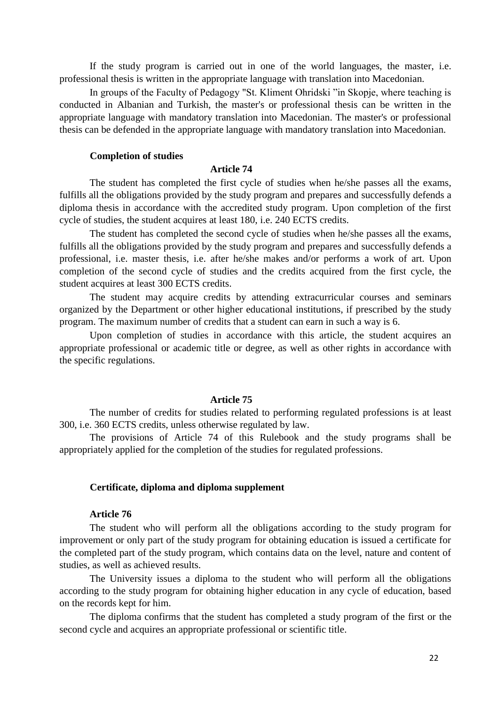If the study program is carried out in one of the world languages, the master, i.e. professional thesis is written in the appropriate language with translation into Macedonian.

In groups of the Faculty of Pedagogy "St. Kliment Ohridski "in Skopje, where teaching is conducted in Albanian and Turkish, the master's or professional thesis can be written in the appropriate language with mandatory translation into Macedonian. The master's or professional thesis can be defended in the appropriate language with mandatory translation into Macedonian.

### **Completion of studies**

#### **Article 74**

The student has completed the first cycle of studies when he/she passes all the exams, fulfills all the obligations provided by the study program and prepares and successfully defends a diploma thesis in accordance with the accredited study program. Upon completion of the first cycle of studies, the student acquires at least 180, i.e. 240 ECTS credits.

The student has completed the second cycle of studies when he/she passes all the exams, fulfills all the obligations provided by the study program and prepares and successfully defends a professional, i.e. master thesis, i.e. after he/she makes and/or performs a work of art. Upon completion of the second cycle of studies and the credits acquired from the first cycle, the student acquires at least 300 ECTS credits.

The student may acquire credits by attending extracurricular courses and seminars organized by the Department or other higher educational institutions, if prescribed by the study program. The maximum number of credits that a student can earn in such a way is 6.

Upon completion of studies in accordance with this article, the student acquires an appropriate professional or academic title or degree, as well as other rights in accordance with the specific regulations.

### **Article 75**

The number of credits for studies related to performing regulated professions is at least 300, i.e. 360 ECTS credits, unless otherwise regulated by law.

The provisions of Article 74 of this Rulebook and the study programs shall be appropriately applied for the completion of the studies for regulated professions.

### **Certificate, diploma and diploma supplement**

## **Article 76**

The student who will perform all the obligations according to the study program for improvement or only part of the study program for obtaining education is issued a certificate for the completed part of the study program, which contains data on the level, nature and content of studies, as well as achieved results.

The University issues a diploma to the student who will perform all the obligations according to the study program for obtaining higher education in any cycle of education, based on the records kept for him.

The diploma confirms that the student has completed a study program of the first or the second cycle and acquires an appropriate professional or scientific title.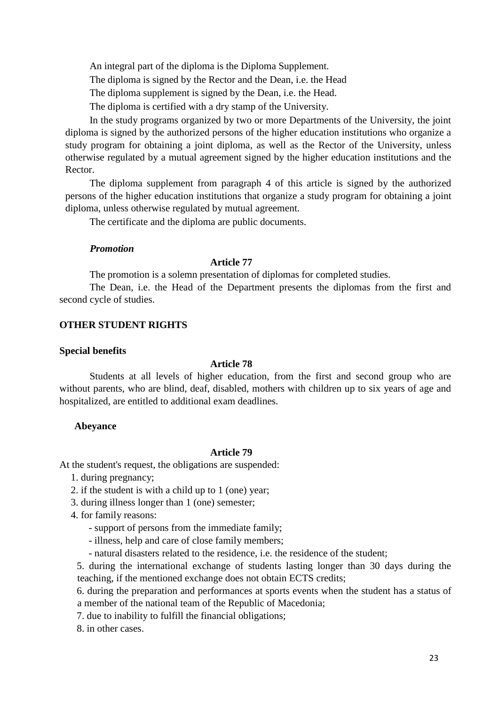An integral part of the diploma is the Diploma Supplement.

The diploma is signed by the Rector and the Dean, i.e. the Head

The diploma supplement is signed by the Dean, i.e. the Head.

The diploma is certified with a dry stamp of the University.

In the study programs organized by two or more Departments of the University, the joint diploma is signed by the authorized persons of the higher education institutions who organize a study program for obtaining a joint diploma, as well as the Rector of the University, unless otherwise regulated by a mutual agreement signed by the higher education institutions and the Rector.

The diploma supplement from paragraph 4 of this article is signed by the authorized persons of the higher education institutions that organize a study program for obtaining a joint diploma, unless otherwise regulated by mutual agreement.

The certificate and the diploma are public documents.

## *Promotion*

## **Article 77**

The promotion is a solemn presentation of diplomas for completed studies.

The Dean, i.e. the Head of the Department presents the diplomas from the first and second cycle of studies.

## **OTHER STUDENT RIGHTS**

### **Special benefits**

## **Article 78**

Students at all levels of higher education, from the first and second group who are without parents, who are blind, deaf, disabled, mothers with children up to six years of age and hospitalized, are entitled to additional exam deadlines.

## **Abeyance**

#### **Article 79**

At the student's request, the obligations are suspended:

- 1. during pregnancy;
- 2. if the student is with a child up to 1 (one) year;
- 3. during illness longer than 1 (one) semester;
- 4. for family reasons:
	- support of persons from the immediate family;
	- illness, help and care of close family members;
	- natural disasters related to the residence, i.e. the residence of the student;

5. during the international exchange of students lasting longer than 30 days during the teaching, if the mentioned exchange does not obtain ECTS credits;

6. during the preparation and performances at sports events when the student has a status of a member of the national team of the Republic of Macedonia;

7. due to inability to fulfill the financial obligations;

8. in other cases.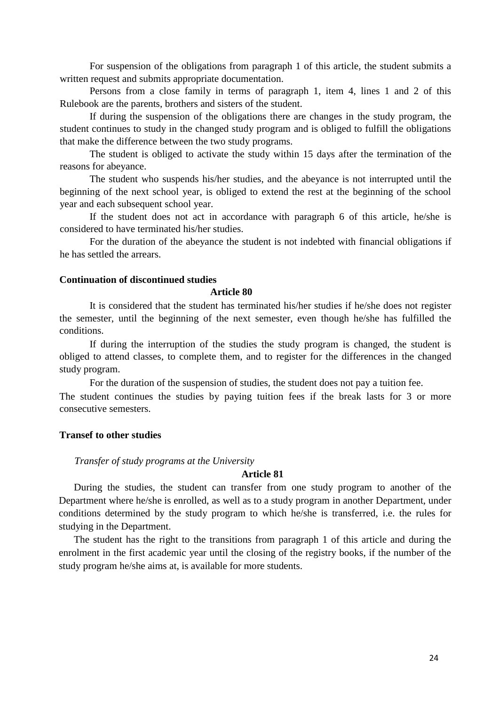For suspension of the obligations from paragraph 1 of this article, the student submits a written request and submits appropriate documentation.

Persons from a close family in terms of paragraph 1, item 4, lines 1 and 2 of this Rulebook are the parents, brothers and sisters of the student.

If during the suspension of the obligations there are changes in the study program, the student continues to study in the changed study program and is obliged to fulfill the obligations that make the difference between the two study programs.

The student is obliged to activate the study within 15 days after the termination of the reasons for abeyance.

The student who suspends his/her studies, and the abeyance is not interrupted until the beginning of the next school year, is obliged to extend the rest at the beginning of the school year and each subsequent school year.

If the student does not act in accordance with paragraph 6 of this article, he/she is considered to have terminated his/her studies.

For the duration of the abeyance the student is not indebted with financial obligations if he has settled the arrears.

## **Continuation of discontinued studies**

### **Article 80**

It is considered that the student has terminated his/her studies if he/she does not register the semester, until the beginning of the next semester, even though he/she has fulfilled the conditions.

If during the interruption of the studies the study program is changed, the student is obliged to attend classes, to complete them, and to register for the differences in the changed study program.

For the duration of the suspension of studies, the student does not pay a tuition fee.

The student continues the studies by paying tuition fees if the break lasts for 3 or more consecutive semesters.

## **Transef to other studies**

#### *Transfer of study programs at the University*

## **Article 81**

During the studies, the student can transfer from one study program to another of the Department where he/she is enrolled, as well as to a study program in another Department, under conditions determined by the study program to which he/she is transferred, i.e. the rules for studying in the Department.

The student has the right to the transitions from paragraph 1 of this article and during the enrolment in the first academic year until the closing of the registry books, if the number of the study program he/she aims at, is available for more students.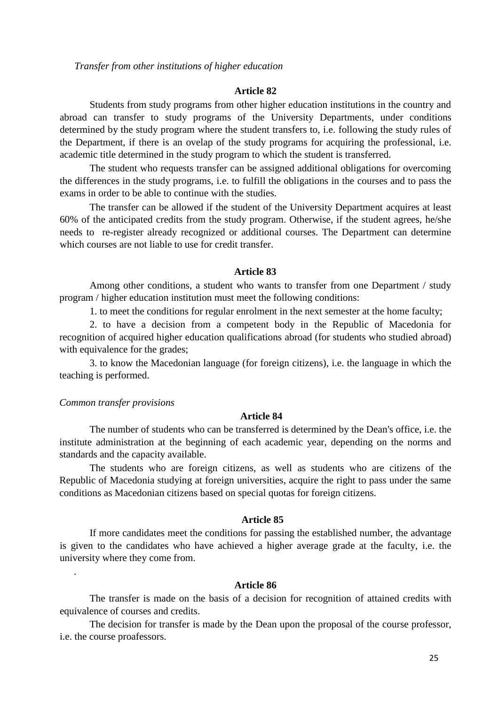*Transfer from other institutions of higher education*

#### **Article 82**

Students from study programs from other higher education institutions in the country and abroad can transfer to study programs of the University Departments, under conditions determined by the study program where the student transfers to, i.e. following the study rules of the Department, if there is an ovelap of the study programs for acquiring the professional, i.e. academic title determined in the study program to which the student is transferred.

The student who requests transfer can be assigned additional obligations for overcoming the differences in the study programs, i.e. to fulfill the obligations in the courses and to pass the exams in order to be able to continue with the studies.

The transfer can be allowed if the student of the University Department acquires at least 60% of the anticipated credits from the study program. Otherwise, if the student agrees, he/she needs to re-register already recognized or additional courses. The Department can determine which courses are not liable to use for credit transfer.

## **Article 83**

Among other conditions, a student who wants to transfer from one Department / study program / higher education institution must meet the following conditions:

1. to meet the conditions for regular enrolment in the next semester at the home faculty;

2. to have a decision from a competent body in the Republic of Macedonia for recognition of acquired higher education qualifications abroad (for students who studied abroad) with equivalence for the grades;

3. to know the Macedonian language (for foreign citizens), i.e. the language in which the teaching is performed.

#### *Common transfer provisions*

.

### **Article 84**

The number of students who can be transferred is determined by the Dean's office, i.e. the institute administration at the beginning of each academic year, depending on the norms and standards and the capacity available.

The students who are foreign citizens, as well as students who are citizens of the Republic of Macedonia studying at foreign universities, acquire the right to pass under the same conditions as Macedonian citizens based on special quotas for foreign citizens.

### **Article 85**

If more candidates meet the conditions for passing the established number, the advantage is given to the candidates who have achieved a higher average grade at the faculty, i.e. the university where they come from.

## **Article 86**

The transfer is made on the basis of a decision for recognition of attained credits with equivalence of courses and credits.

The decision for transfer is made by the Dean upon the proposal of the course professor, i.e. the course proafessors.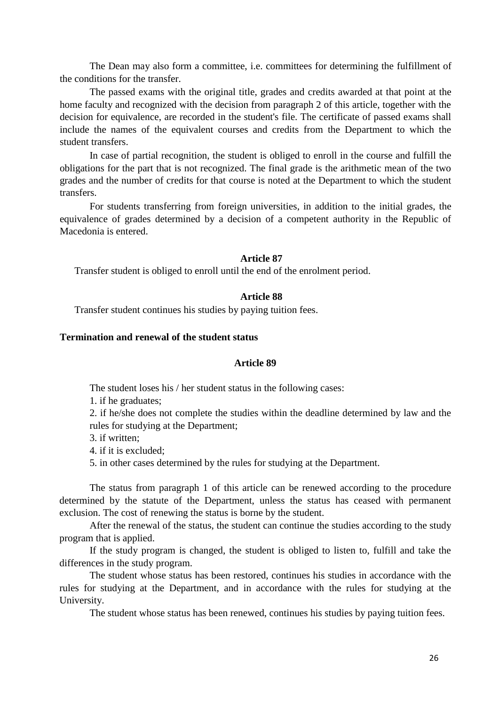The Dean may also form a committee, i.e. committees for determining the fulfillment of the conditions for the transfer.

The passed exams with the original title, grades and credits awarded at that point at the home faculty and recognized with the decision from paragraph 2 of this article, together with the decision for equivalence, are recorded in the student's file. The certificate of passed exams shall include the names of the equivalent courses and credits from the Department to which the student transfers.

In case of partial recognition, the student is obliged to enroll in the course and fulfill the obligations for the part that is not recognized. The final grade is the arithmetic mean of the two grades and the number of credits for that course is noted at the Department to which the student transfers.

For students transferring from foreign universities, in addition to the initial grades, the equivalence of grades determined by a decision of a competent authority in the Republic of Macedonia is entered.

#### **Article 87**

Transfer student is obliged to enroll until the end of the enrolment period.

#### **Article 88**

Transfer student continues his studies by paying tuition fees.

## **Termination and renewal of the student status**

### **Article 89**

The student loses his / her student status in the following cases:

1. if he graduates;

2. if he/she does not complete the studies within the deadline determined by law and the rules for studying at the Department;

3. if written;

4. if it is excluded;

5. in other cases determined by the rules for studying at the Department.

The status from paragraph 1 of this article can be renewed according to the procedure determined by the statute of the Department, unless the status has ceased with permanent exclusion. The cost of renewing the status is borne by the student.

After the renewal of the status, the student can continue the studies according to the study program that is applied.

If the study program is changed, the student is obliged to listen to, fulfill and take the differences in the study program.

The student whose status has been restored, continues his studies in accordance with the rules for studying at the Department, and in accordance with the rules for studying at the University.

The student whose status has been renewed, continues his studies by paying tuition fees.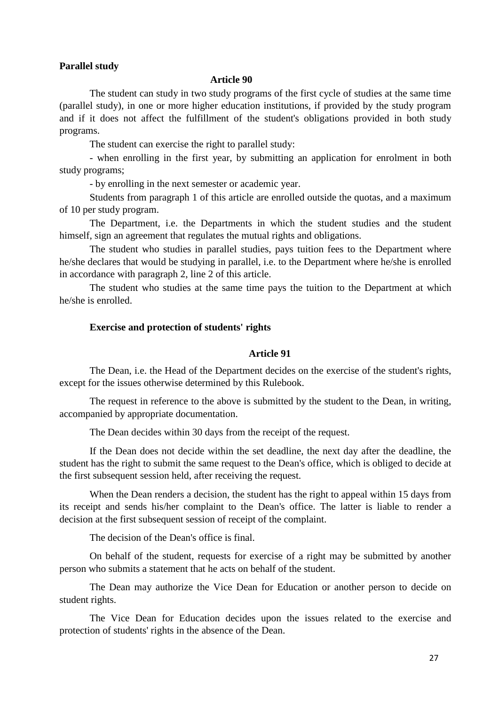## **Parallel study**

### **Article 90**

The student can study in two study programs of the first cycle of studies at the same time (parallel study), in one or more higher education institutions, if provided by the study program and if it does not affect the fulfillment of the student's obligations provided in both study programs.

The student can exercise the right to parallel study:

- when enrolling in the first year, by submitting an application for enrolment in both study programs;

- by enrolling in the next semester or academic year.

Students from paragraph 1 of this article are enrolled outside the quotas, and a maximum of 10 per study program.

The Department, i.e. the Departments in which the student studies and the student himself, sign an agreement that regulates the mutual rights and obligations.

The student who studies in parallel studies, pays tuition fees to the Department where he/she declares that would be studying in parallel, i.e. to the Department where he/she is enrolled in accordance with paragraph 2, line 2 of this article.

The student who studies at the same time pays the tuition to the Department at which he/she is enrolled.

### **Exercise and protection of students' rights**

## **Article 91**

The Dean, i.e. the Head of the Department decides on the exercise of the student's rights, except for the issues otherwise determined by this Rulebook.

The request in reference to the above is submitted by the student to the Dean, in writing, accompanied by appropriate documentation.

The Dean decides within 30 days from the receipt of the request.

If the Dean does not decide within the set deadline, the next day after the deadline, the student has the right to submit the same request to the Dean's office, which is obliged to decide at the first subsequent session held, after receiving the request.

When the Dean renders a decision, the student has the right to appeal within 15 days from its receipt and sends his/her complaint to the Dean's office. The latter is liable to render a decision at the first subsequent session of receipt of the complaint.

The decision of the Dean's office is final.

On behalf of the student, requests for exercise of a right may be submitted by another person who submits a statement that he acts on behalf of the student.

The Dean may authorize the Vice Dean for Education or another person to decide on student rights.

The Vice Dean for Education decides upon the issues related to the exercise and protection of students' rights in the absence of the Dean.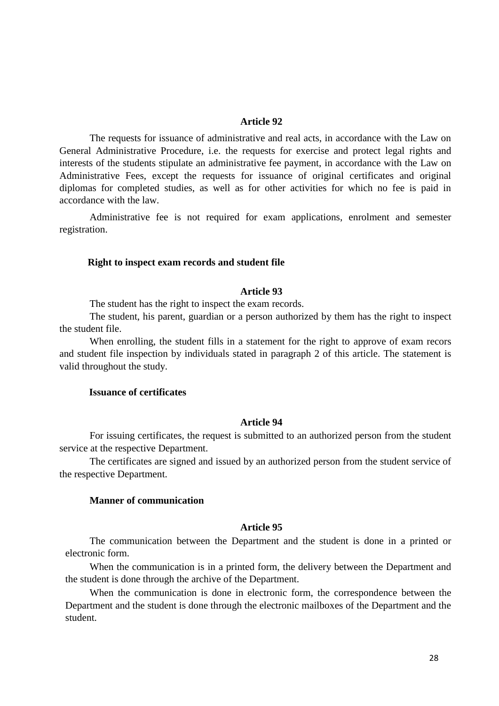#### **Article 92**

The requests for issuance of administrative and real acts, in accordance with the Law on General Administrative Procedure, i.e. the requests for exercise and protect legal rights and interests of the students stipulate an administrative fee payment, in accordance with the Law on Administrative Fees, except the requests for issuance of original certificates and original diplomas for completed studies, as well as for other activities for which no fee is paid in accordance with the law.

Administrative fee is not required for exam applications, enrolment and semester registration.

#### **Right to inspect exam records and student file**

### **Article 93**

The student has the right to inspect the exam records.

The student, his parent, guardian or a person authorized by them has the right to inspect the student file.

When enrolling, the student fills in a statement for the right to approve of exam recors and student file inspection by individuals stated in paragraph 2 of this article. The statement is valid throughout the study.

## **Issuance of certificates**

### **Article 94**

For issuing certificates, the request is submitted to an authorized person from the student service at the respective Department.

The certificates are signed and issued by an authorized person from the student service of the respective Department.

## **Manner of communication**

#### **Article 95**

The communication between the Department and the student is done in a printed or electronic form.

When the communication is in a printed form, the delivery between the Department and the student is done through the archive of the Department.

When the communication is done in electronic form, the correspondence between the Department and the student is done through the electronic mailboxes of the Department and the student.